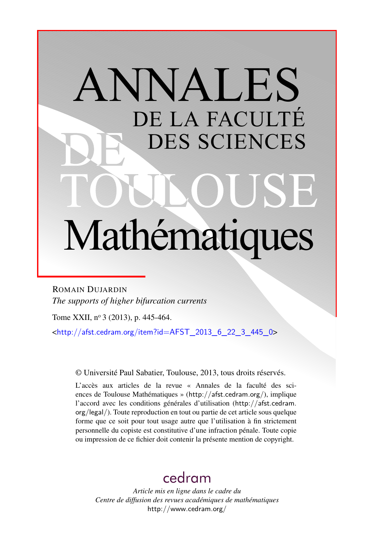# ANNALES DE LA FACULTÉ DES SCIENCES Mathématiques

ROMAIN DUJARDIN *The supports of higher bifurcation currents*

Tome XXII, nº 3 (2013), p. 445-464.

<[http://afst.cedram.org/item?id=AFST\\_2013\\_6\\_22\\_3\\_445\\_0](http://afst.cedram.org/item?id=AFST_2013_6_22_3_445_0)>

© Université Paul Sabatier, Toulouse, 2013, tous droits réservés.

L'accès aux articles de la revue « Annales de la faculté des sciences de Toulouse Mathématiques » (<http://afst.cedram.org/>), implique l'accord avec les conditions générales d'utilisation ([http://afst.cedram.](http://afst.cedram.org/legal/) [org/legal/](http://afst.cedram.org/legal/)). Toute reproduction en tout ou partie de cet article sous quelque forme que ce soit pour tout usage autre que l'utilisation à fin strictement personnelle du copiste est constitutive d'une infraction pénale. Toute copie ou impression de ce fichier doit contenir la présente mention de copyright.

# [cedram](http://www.cedram.org/)

*Article mis en ligne dans le cadre du Centre de diffusion des revues académiques de mathématiques* <http://www.cedram.org/>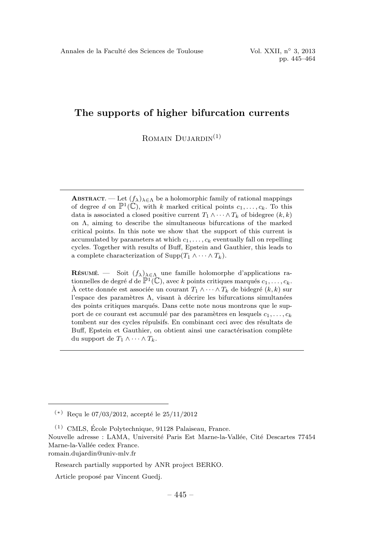# The supports of higher bifurcation currents

ROMAIN  $D$ *UJARDIN*<sup>(1)</sup>

**ABSTRACT.** — Let  $(f_{\lambda})_{\lambda \in \Lambda}$  be a holomorphic family of rational mappings of degree d on  $\mathbb{P}^1(\mathbb{C})$ , with k marked critical points  $c_1,\ldots,c_k$ . To this data is associated a closed positive current  $T_1 \wedge \cdots \wedge T_k$  of bidegree  $(k, k)$ on  $\Lambda$ , aiming to describe the simultaneous bifurcations of the marked critical points. In this note we show that the support of this current is accumulated by parameters at which  $c_1, \ldots, c_k$  eventually fall on repelling cycles. Together with results of Buff, Epstein and Gauthier, this leads to a complete characterization of Supp $(T_1 \wedge \cdots \wedge T_k)$ .

RÉSUMÉ. — Soit  $(f_{\lambda})_{\lambda \in \Lambda}$  une famille holomorphe d'applications rationnelles de degré d de  $\mathbb{P}^1(\mathbb{C})$ , avec k points critiques marqués  $c_1,\ldots,c_k$ . À cette donnée est associée un courant  $T_1 \wedge \cdots \wedge T_k$  de bidegré  $(k, k)$  sur l'espace des paramètres  $\Lambda$ , visant à décrire les bifurcations simultanées des points critiques marqués. Dans cette note nous montrons que le support de ce courant est accumulé par des paramètres en lesquels  $c_1,\ldots,c_k$ tombent sur des cycles répulsifs. En combinant ceci avec des résultats de Buff, Epstein et Gauthier, on obtient ainsi une caractérisation complète du support de  $T_1 \wedge \cdots \wedge T_k$ .

romain.dujardin@univ-mlv.fr

 $(*)$  Reçu le 07/03/2012, accepté le 25/11/2012

 $(1)$  CMLS, École Polytechnique, 91128 Palaiseau, France.

Nouvelle adresse : LAMA, Université Paris Est Marne-la-Vallée, Cité Descartes 77454 Marne-la-Vallée cedex France.

Research partially supported by ANR project BERKO.

Article proposé par Vincent Guedj.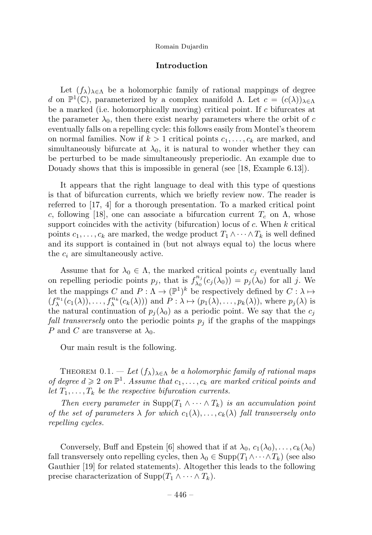# Introduction

Let  $(f_{\lambda})_{\lambda \in \Lambda}$  be a holomorphic family of rational mappings of degree d on  $\mathbb{P}^1(\mathbb{C})$ , parameterized by a complex manifold  $\Lambda$ . Let  $c = (c(\lambda))_{\lambda \in \Lambda}$ be a marked (i.e. holomorphically moving) critical point. If  $c$  bifurcates at the parameter  $\lambda_0$ , then there exist nearby parameters where the orbit of c eventually falls on a repelling cycle: this follows easily from Montel's theorem on normal families. Now if  $k > 1$  critical points  $c_1, \ldots, c_k$  are marked, and simultaneously bifurcate at  $\lambda_0$ , it is natural to wonder whether they can be perturbed to be made simultaneously preperiodic. An example due to Douady shows that this is impossible in general (see [18, Example 6.13]).

It appears that the right language to deal with this type of questions is that of bifurcation currents, which we briefly review now. The reader is referred to [17, 4] for a thorough presentation. To a marked critical point c, following [18], one can associate a bifurcation current  $T_c$  on  $\Lambda$ , whose support coincides with the activity (bifurcation) locus of  $c$ . When  $k$  critical points  $c_1,\ldots,c_k$  are marked, the wedge product  $T_1 \wedge \cdots \wedge T_k$  is well defined and its support is contained in (but not always equal to) the locus where the  $c_i$  are simultaneously active.

Assume that for  $\lambda_0 \in \Lambda$ , the marked critical points  $c_i$  eventually land on repelling periodic points  $p_j$ , that is  $f_{\lambda_0}^{n_j}(c_j(\lambda_0)) = p_j(\lambda_0)$  for all j. We let the mappings C and  $P: \Lambda \to (\mathbb{P}^1)^k$  be respectively defined by  $C: \lambda \mapsto$  $(f_{\lambda}^{n_1}(c_1(\lambda)),...,f_{\lambda}^{n_k}(c_k(\lambda)))$  and  $P : \lambda \mapsto (p_1(\lambda),...,p_k(\lambda)),$  where  $p_j(\lambda)$  is the natural continuation of  $p_i(\lambda_0)$  as a periodic point. We say that the  $c_j$ fall transversely onto the periodic points  $p_j$  if the graphs of the mappings P and C are transverse at  $\lambda_0$ .

Our main result is the following.

THEOREM  $0.1. - Let (f_{\lambda})_{\lambda \in \Lambda}$  be a holomorphic family of rational maps of degree  $d \geqslant 2$  on  $\mathbb{P}^1$ . Assume that  $c_1,\ldots,c_k$  are marked critical points and let  $T_1, \ldots, T_k$  be the respective bifurcation currents.

Then every parameter in Supp $(T_1 \wedge \cdots \wedge T_k)$  is an accumulation point of the set of parameters  $\lambda$  for which  $c_1(\lambda), \ldots, c_k(\lambda)$  fall transversely onto repelling cycles.

Conversely, Buff and Epstein [6] showed that if at  $\lambda_0, c_1(\lambda_0), \ldots, c_k(\lambda_0)$ fall transversely onto repelling cycles, then  $\lambda_0 \in \text{Supp}(T_1 \wedge \cdots \wedge T_k)$  (see also Gauthier [19] for related statements). Altogether this leads to the following precise characterization of Supp $(T_1 \wedge \cdots \wedge T_k)$ .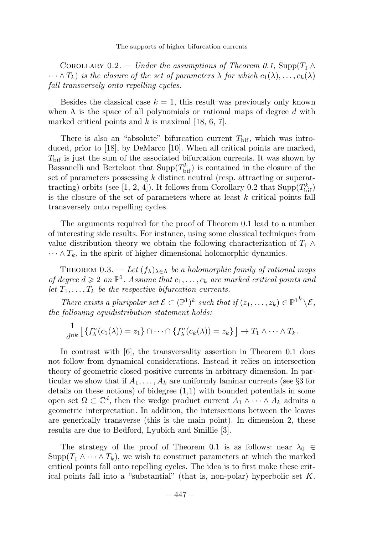The supports of higher bifurcation currents

COROLLARY 0.2. — Under the assumptions of Theorem 0.1, Supp $(T_1 \wedge$  $\cdots \wedge T_k$ ) is the closure of the set of parameters  $\lambda$  for which  $c_1(\lambda),\ldots,c_k(\lambda)$ fall transversely onto repelling cycles.

Besides the classical case  $k = 1$ , this result was previously only known when  $\Lambda$  is the space of all polynomials or rational maps of degree d with marked critical points and  $k$  is maximal [18, 6, 7].

There is also an "absolute" bifurcation current  $T_{\text{bif}}$ , which was introduced, prior to [18], by DeMarco [10]. When all critical points are marked,  $T_{\text{bif}}$  is just the sum of the associated bifurcation currents. It was shown by Bassanelli and Berteloot that  $\text{Supp}(T_{\text{bif}}^k)$  is contained in the closure of the set of parameters possessing  $k$  distinct neutral (resp. attracting or superattracting) orbits (see [1, 2, 4]). It follows from Corollary 0.2 that  $\text{Supp}(T_{\text{bif}}^k)$ is the closure of the set of parameters where at least  $k$  critical points fall transversely onto repelling cycles.

The arguments required for the proof of Theorem 0.1 lead to a number of interesting side results. For instance, using some classical techniques from value distribution theory we obtain the following characterization of  $T_1 \wedge$  $\cdots \wedge T_k$ , in the spirit of higher dimensional holomorphic dynamics.

THEOREM 0.3. — Let  $(f_{\lambda})_{\lambda \in \Lambda}$  be a holomorphic family of rational maps of degree  $d \geqslant 2$  on  $\mathbb{P}^1$ . Assume that  $c_1,\ldots,c_k$  are marked critical points and let  $T_1, \ldots, T_k$  be the respective bifurcation currents.

There exists a pluripolar set  $\mathcal{E} \subset (\mathbb{P}^1)^k$  such that if  $(z_1,\ldots,z_k) \in \mathbb{P}^{1^k} \setminus \mathcal{E}$ , the following equidistribution statement holds:

$$
\frac{1}{d^{nk}}\big[\left\{f_{\lambda}^n(c_1(\lambda))=z_1\right\}\cap\cdots\cap\left\{f_{\lambda}^n(c_k(\lambda))=z_k\right\}\big]\to T_1\wedge\cdots\wedge T_k.
$$

In contrast with [6], the transversality assertion in Theorem 0.1 does not follow from dynamical considerations. Instead it relies on intersection theory of geometric closed positive currents in arbitrary dimension. In particular we show that if  $A_1, \ldots, A_k$  are uniformly laminar currents (see §3 for details on these notions) of bidegree (1,1) with bounded potentials in some open set  $\Omega \subset \mathbb{C}^d$ , then the wedge product current  $A_1 \wedge \cdots \wedge A_k$  admits a geometric interpretation. In addition, the intersections between the leaves are generically transverse (this is the main point). In dimension 2, these results are due to Bedford, Lyubich and Smillie [3].

The strategy of the proof of Theorem 0.1 is as follows: near  $\lambda_0 \in$  $\text{Supp}(T_1 \wedge \cdots \wedge T_k)$ , we wish to construct parameters at which the marked critical points fall onto repelling cycles. The idea is to first make these critical points fall into a "substantial" (that is, non-polar) hyperbolic set  $K$ .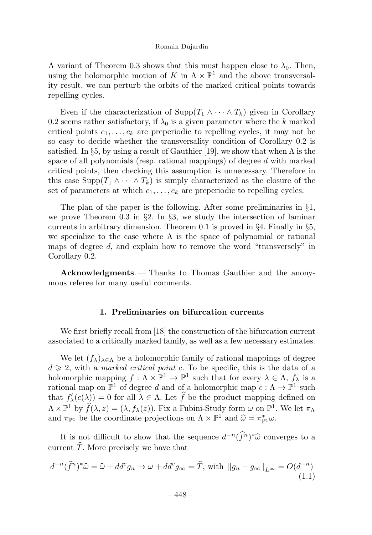A variant of Theorem 0.3 shows that this must happen close to  $\lambda_0$ . Then, using the holomorphic motion of K in  $\Lambda \times \mathbb{P}^1$  and the above transversality result, we can perturb the orbits of the marked critical points towards repelling cycles.

Even if the characterization of  $\text{Supp}(T_1 \wedge \cdots \wedge T_k)$  given in Corollary 0.2 seems rather satisfactory, if  $\lambda_0$  is a given parameter where the k marked critical points  $c_1, \ldots, c_k$  are preperiodic to repelling cycles, it may not be so easy to decide whether the transversality condition of Corollary 0.2 is satisfied. In §5, by using a result of Gauthier [19], we show that when  $\Lambda$  is the space of all polynomials (resp. rational mappings) of degree d with marked critical points, then checking this assumption is unnecessary. Therefore in this case  $\text{Supp}(T_1 \wedge \cdots \wedge T_k)$  is simply characterized as the closure of the set of parameters at which  $c_1, \ldots, c_k$  are preperiodic to repelling cycles.

The plan of the paper is the following. After some preliminaries in §1, we prove Theorem 0.3 in  $\S2$ . In  $\S3$ , we study the intersection of laminar currents in arbitrary dimension. Theorem 0.1 is proved in  $\S 4$ . Finally in  $\S 5$ , we specialize to the case where  $\Lambda$  is the space of polynomial or rational maps of degree d, and explain how to remove the word "transversely" in Corollary 0.2.

Acknowledgments. — Thanks to Thomas Gauthier and the anonymous referee for many useful comments.

# 1. Preliminaries on bifurcation currents

We first briefly recall from [18] the construction of the bifurcation current associated to a critically marked family, as well as a few necessary estimates.

We let  $(f_{\lambda})_{\lambda \in \Lambda}$  be a holomorphic family of rational mappings of degree  $d \geq 2$ , with a *marked critical point c*. To be specific, this is the data of a holomorphic mapping  $f : \Lambda \times \mathbb{P}^1 \to \mathbb{P}^1$  such that for every  $\lambda \in \Lambda$ ,  $f_\lambda$  is a rational map on  $\mathbb{P}^1$  of degree d and of a holomorphic map  $c: \Lambda \to \mathbb{P}^1$  such that  $f'_{\lambda}(c(\lambda)) = 0$  for all  $\lambda \in \Lambda$ . Let f be the product mapping defined on  $\Lambda \times \mathbb{P}^1$  by  $\widehat{f}(\lambda, z) = (\lambda, f_\lambda(z))$ . Fix a Fubini-Study form  $\omega$  on  $\mathbb{P}^1$ . We let  $\pi_\Lambda$ and  $\pi_{\mathbb{P}^1}$  be the coordinate projections on  $\Lambda \times \mathbb{P}^1$  and  $\widehat{\omega} = \pi_{\mathbb{P}^1}^* \omega$ .

It is not difficult to show that the sequence  $d^{-n}(\hat{f}^n)^*\hat{\omega}$  converges to a current  $\hat{T}$ . More precisely we have that

$$
d^{-n}(\hat{f}^n)^*\hat{\omega} = \hat{\omega} + dd^c g_n \to \omega + dd^c g_\infty = \hat{T}, \text{ with } ||g_n - g_\infty||_{L^\infty} = O(d^{-n})
$$
\n(1.1)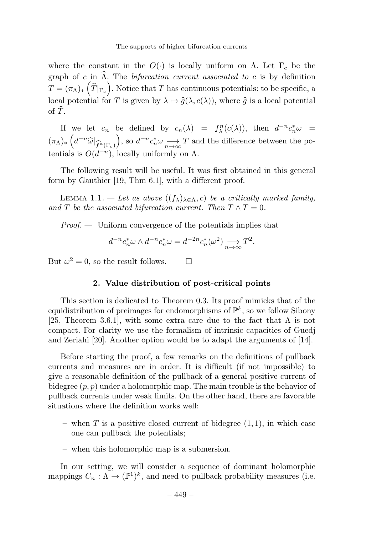where the constant in the  $O(\cdot)$  is locally uniform on  $\Lambda$ . Let  $\Gamma_c$  be the graph of c in  $\hat{\Lambda}$ . The *bifurcation current associated to c* is by definition  $T = (\pi_\Lambda)_* \left( \widehat{T}|_{\Gamma_c} \right)$ . Notice that T has continuous potentials: to be specific, a local potential for T is given by  $\lambda \mapsto \hat{g}(\lambda, c(\lambda))$ , where  $\hat{g}$  is a local potential of  $\widehat{T}$ .

If we let  $c_n$  be defined by  $c_n(\lambda) = f_{\lambda}^n(c(\lambda))$ , then  $d^{-n}c_n^*\omega =$  $(\pi_\Lambda)_* \left( d^{-n} \widehat{\omega} \big|_{\widehat{f}^n(\Gamma_c)} \right)$ ), so  $d^{-n}c_n^*\omega \longrightarrow T$  and the difference between the potentials is  $O(d^{-n})$ , locally uniformly on  $\Lambda$ .

The following result will be useful. It was first obtained in this general form by Gauthier [19, Thm 6.1], with a different proof.

LEMMA 1.1. — Let as above  $((f_{\lambda})_{\lambda \in \Lambda}, c)$  be a critically marked family, and T be the associated bifurcation current. Then  $T \wedge T = 0$ .

 $Proof.$  — Uniform convergence of the potentials implies that

$$
d^{-n}c_n^*\omega \wedge d^{-n}c_n^*\omega = d^{-2n}c_n^*(\omega^2) \longrightarrow_{n \to \infty} T^2.
$$

But  $\omega^2 = 0$ , so the result follows.

# 2. Value distribution of post-critical points

 $\Box$ 

This section is dedicated to Theorem 0.3. Its proof mimicks that of the equidistribution of preimages for endomorphisms of  $\mathbb{P}^k$ , so we follow Sibony [25, Theorem 3.6.1], with some extra care due to the fact that  $\Lambda$  is not compact. For clarity we use the formalism of intrinsic capacities of Guedj and Zeriahi [20]. Another option would be to adapt the arguments of [14].

Before starting the proof, a few remarks on the definitions of pullback currents and measures are in order. It is difficult (if not impossible) to give a reasonable definition of the pullback of a general positive current of bidegree  $(p, p)$  under a holomorphic map. The main trouble is the behavior of pullback currents under weak limits. On the other hand, there are favorable situations where the definition works well:

- when  $T$  is a positive closed current of bidegree  $(1, 1)$ , in which case one can pullback the potentials;
- when this holomorphic map is a submersion.

In our setting, we will consider a sequence of dominant holomorphic mappings  $C_n : \Lambda \to (\mathbb{P}^1)^k$ , and need to pullback probability measures (i.e.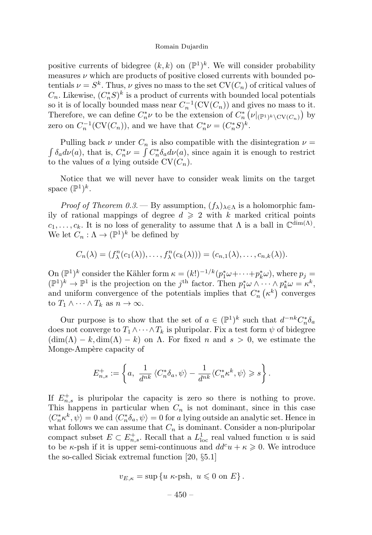positive currents of bidegree  $(k, k)$  on  $(\mathbb{P}^1)^k$ . We will consider probability measures  $\nu$  which are products of positive closed currents with bounded potentials  $\nu = S^k$ . Thus,  $\nu$  gives no mass to the set  $CV(C_n)$  of critical values of  $C_n$ . Likewise,  $(C_n^*S)^k$  is a product of currents with bounded local potentials so it is of locally bounded mass near  $C_n^{-1}(\mathrm{CV}(C_n))$  and gives no mass to it. Therefore, we can define  $C_n^*\nu$  to be the extension of  $C_n^*\left(\nu|_{(\mathbb{P}^1)^k\setminus\mathrm{CV}(C_n)}\right)$  by zero on  $C_n^{-1}(\mathrm{CV}(C_n))$ , and we have that  $C_n^*\nu = (C_n^*S)^k$ .

Pulling back  $\nu$  under  $C_n$  is also compatible with the disintegration  $\nu =$   $\int \delta_a d\nu(a)$ , that is,  $C_n^* \nu = \int C_n^* \delta_a d\nu(a)$ , since again it is enough to restrict to the values of a lying outside  $CV(C_n)$ .

Notice that we will never have to consider weak limits on the target space  $(\mathbb{P}^1)^k$ .

*Proof of Theorem 0.3.* — By assumption,  $(f_{\lambda})_{\lambda \in \Lambda}$  is a holomorphic family of rational mappings of degree  $d \geq 2$  with k marked critical points  $c_1,\ldots,c_k$ . It is no loss of generality to assume that  $\Lambda$  is a ball in  $\mathbb{C}^{\dim(\Lambda)}$ . We let  $C_n : \Lambda \to (\mathbb{P}^1)^k$  be defined by

$$
C_n(\lambda)=(f_{\lambda}^n(c_1(\lambda)),\ldots,f_{\lambda}^n(c_k(\lambda)))=(c_{n,1}(\lambda),\ldots,c_{n,k}(\lambda)).
$$

On  $(\mathbb{P}^1)^k$  consider the Kähler form  $\kappa = (k!)^{-1/k} (p_1^*\omega + \cdots + p_k^*\omega)$ , where  $p_j =$  $(\mathbb{P}^1)^k \to \mathbb{P}^1$  is the projection on the j<sup>th</sup> factor. Then  $p_1^*\omega \wedge \cdots \wedge p_k^*\omega = \kappa^k$ , and uniform convergence of the potentials implies that  $C_n^*$  ( $\kappa^k$ ) converges to  $T_1 \wedge \cdots \wedge T_k$  as  $n \to \infty$ .

Our purpose is to show that the set of  $a \in (\mathbb{P}^1)^k$  such that  $d^{-nk}C_n^*\delta_a$ does not converge to  $T_1 \wedge \cdots \wedge T_k$  is pluripolar. Fix a test form  $\psi$  of bidegree  $(\dim(\Lambda) - k, \dim(\Lambda) - k)$  on  $\Lambda$ . For fixed n and  $s > 0$ , we estimate the Monge-Ampère capacity of

$$
E_{n,s}^+:=\left\{a,\ \frac{1}{d^{nk}}\left\langle C_n^*\delta_a,\psi\right\rangle-\frac{1}{d^{nk}}\langle C_n^*\kappa^k,\psi\rangle\geqslant s\right\}.
$$

If  $E_{n,s}^{+}$  is pluripolar the capacity is zero so there is nothing to prove. This happens in particular when  $C_n$  is not dominant, since in this case  $\langle C^*_n \kappa^k, \psi \rangle = 0$  and  $\langle C^*_n \delta_a, \psi \rangle = 0$  for a lying outside an analytic set. Hence in what follows we can assume that  $C_n$  is dominant. Consider a non-pluripolar compact subset  $E \subset E_{n,s}^+$ . Recall that a  $L^1_{loc}$  real valued function u is said to be  $\kappa$ -psh if it is upper semi-continuous and  $dd^c u + \kappa \geq 0$ . We introduce the so-called Siciak extremal function  $[20, §5.1]$ 

$$
v_{E,\kappa} = \sup \{ u \kappa\text{-psh}, u \leqslant 0 \text{ on } E \}.
$$

 $-450-$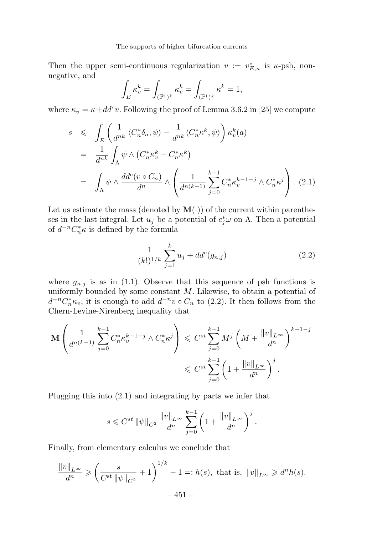Then the upper semi-continuous regularization  $v := v_{E,\kappa}^*$  is  $\kappa$ -psh, nonnegative, and

$$
\int_E \kappa_v^k = \int_{(\mathbb{P}^1)^k} \kappa_v^k = \int_{(\mathbb{P}^1)^k} \kappa^k = 1,
$$

where  $\kappa_v = \kappa + dd^c v$ . Following the proof of Lemma 3.6.2 in [25] we compute

$$
s \leq \int_{E} \left( \frac{1}{d^{nk}} \langle C_n^* \delta_a, \psi \rangle - \frac{1}{d^{nk}} \langle C_n^* \kappa^k, \psi \rangle \right) \kappa_v^k(a)
$$
  

$$
= \frac{1}{d^{nk}} \int_{\Lambda} \psi \wedge \left( C_n^* \kappa_v^k - C_n^* \kappa^k \right)
$$
  

$$
= \int_{\Lambda} \psi \wedge \frac{dd^c(v \circ C_n)}{d^n} \wedge \left( \frac{1}{d^{n(k-1)}} \sum_{j=0}^{k-1} C_n^* \kappa_v^{k-1-j} \wedge C_n^* \kappa^j \right). (2.1)
$$

Let us estimate the mass (denoted by  $\mathbf{M}(\cdot)$ ) of the current within parentheses in the last integral. Let  $u_j$  be a potential of  $c_j^*\omega$  on  $\Lambda$ . Then a potential of  $d^{-n}C_n^*\kappa$  is defined by the formula

$$
\frac{1}{(k!)^{1/k}} \sum_{j=1}^{k} u_j + dd^c(g_{n,j})
$$
\n(2.2)

where  $g_{n,j}$  is as in (1.1). Observe that this sequence of psh functions is uniformly bounded by some constant  $M$ . Likewise, to obtain a potential of  $d^{-n}C_n^*\kappa_v$ , it is enough to add  $d^{-n}v \circ C_n$  to (2.2). It then follows from the Chern-Levine-Nirenberg inequality that

$$
\mathbf{M}\left(\frac{1}{d^{n(k-1)}}\sum_{j=0}^{k-1} C_n^* \kappa_v^{k-1-j} \wedge C_n^* \kappa^j\right) \leqslant C^{st} \sum_{j=0}^{k-1} M^j \left(M + \frac{\|v\|_{L^\infty}}{d^n}\right)^{k-1-j}
$$
  

$$
\leqslant C^{st} \sum_{j=0}^{k-1} \left(1 + \frac{\|v\|_{L^\infty}}{d^n}\right)^j.
$$

Plugging this into (2.1) and integrating by parts we infer that

$$
s \leq C^{st} ||\psi||_{C^2} \frac{||v||_{L^{\infty}}}{d^n} \sum_{j=0}^{k-1} \left(1 + \frac{||v||_{L^{\infty}}}{d^n}\right)^j.
$$

Finally, from elementary calculus we conclude that

$$
\frac{\|v\|_{L^{\infty}}}{d^n} \ge \left(\frac{s}{C^{\text{st}}\|\psi\|_{C^2}} + 1\right)^{1/k} - 1 =: h(s), \text{ that is, } \|v\|_{L^{\infty}} \ge d^n h(s).
$$
  
- 451 -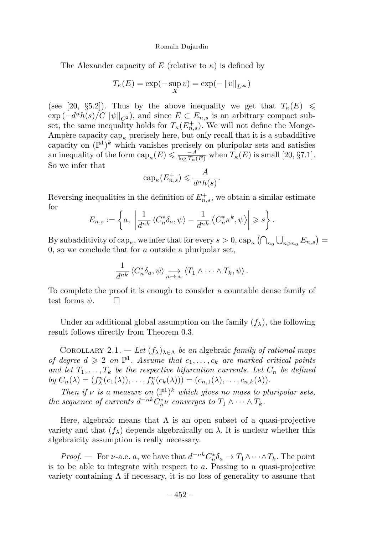The Alexander capacity of E (relative to  $\kappa$ ) is defined by

$$
T_{\kappa}(E) = \exp(-\sup_{X} v) = \exp(-\|v\|_{L^{\infty}})
$$

(see [20, §5.2]). Thus by the above inequality we get that  $T_{\kappa}(E) \le$  $\exp(-d^n h(s)/C \|\psi\|_{C^2})$ , and since  $E \subset E_{n,s}$  is an arbitrary compact subset, the same inequality holds for  $T_{\kappa}(E_{n,s}^{+})$ . We will not define the Monge-Ampère capacity cap<sub>k</sub> precisely here, but only recall that it is a subadditive capacity on  $(\mathbb{P}^1)^k$  which vanishes precisely on pluripolar sets and satisfies an inequality of the form  $cap_{\kappa}(E) \leq \frac{-A}{\log T_{\kappa}(E)}$  when  $T_{\kappa}(E)$  is small [20, §7.1]. So we infer that

$$
cap_{\kappa}(E_{n,s}^+) \leqslant \frac{A}{d^n h(s)}.
$$

Reversing inequalities in the definition of  $E_{n,s}^+$ , we obtain a similar estimate for

$$
E_{n,s} := \left\{ a, \left| \frac{1}{d^{nk}} \left\langle C_n^* \delta_a, \psi \right\rangle - \frac{1}{d^{nk}} \left\langle C_n^* \kappa^k, \psi \right\rangle \right| \geqslant s \right\}.
$$

By subadditivity of  $\text{cap}_{\kappa}$ , we infer that for every  $s > 0$ ,  $\text{cap}_{\kappa} (\bigcap_{n_0} \bigcup_{n \geq n_0} E_{n,s}) =$  $0$ , so we conclude that for  $a$  outside a pluripolar set,

$$
\frac{1}{d^{nk}} \left\langle C_n^* \delta_a, \psi \right\rangle \underset{n \to \infty}{\longrightarrow} \left\langle T_1 \wedge \cdots \wedge T_k, \psi \right\rangle.
$$

To complete the proof it is enough to consider a countable dense family of test forms  $\psi$ .  $\Box$ 

Under an additional global assumption on the family  $(f_{\lambda})$ , the following result follows directly from Theorem 0.3.

COROLLARY 2.1. — Let  $(f_{\lambda})_{\lambda \in \Lambda}$  be an algebraic family of rational maps of degree  $d \geq 2$  on  $\mathbb{P}^1$ . Assume that  $c_1,\ldots,c_k$  are marked critical points and let  $T_1, \ldots, T_k$  be the respective bifurcation currents. Let  $C_n$  be defined by  $C_n(\lambda) = (f_\lambda^n(c_1(\lambda)), \ldots, f_\lambda^n(c_k(\lambda))) = (c_{n,1}(\lambda), \ldots, c_{n,k}(\lambda)).$ 

Then if  $\nu$  is a measure on  $(\mathbb{P}^1)^k$  which gives no mass to pluripolar sets, the sequence of currents  $d^{-nk}C_n^*\nu$  converges to  $T_1 \wedge \cdots \wedge T_k$ .

Here, algebraic means that  $\Lambda$  is an open subset of a quasi-projective variety and that  $(f_\lambda)$  depends algebraically on  $\lambda$ . It is unclear whether this algebraicity assumption is really necessary.

*Proof.* — For  $\nu$ -a.e. a, we have that  $d^{-nk} C_n^* \delta_a \to T_1 \wedge \cdots \wedge T_k$ . The point is to be able to integrate with respect to a. Passing to a quasi-projective variety containing  $\Lambda$  if necessary, it is no loss of generality to assume that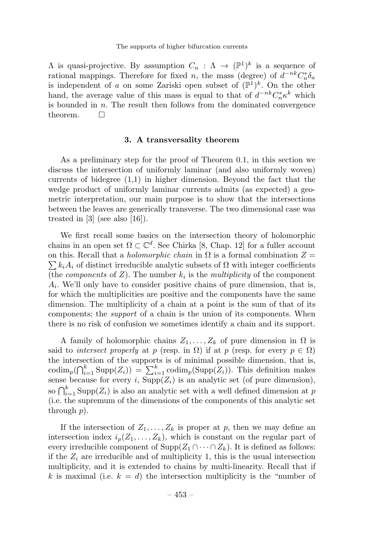$\Lambda$  is quasi-projective. By assumption  $C_n : \Lambda \to (\mathbb{P}^1)^k$  is a sequence of rational mappings. Therefore for fixed n, the mass (degree) of  $d^{-nk}C_n^*\delta_a$ is independent of a on some Zariski open subset of  $(\mathbb{P}^1)^k$ . On the other hand, the average value of this mass is equal to that of  $d^{-nk}C_n^*\kappa^k$  which is bounded in  $n$ . The result then follows from the dominated convergence theorem.  $\square$ 

# 3. A transversality theorem

As a preliminary step for the proof of Theorem 0.1, in this section we discuss the intersection of uniformly laminar (and also uniformly woven) currents of bidegree (1,1) in higher dimension. Beyond the fact that the wedge product of uniformly laminar currents admits (as expected) a geometric interpretation, our main purpose is to show that the intersections between the leaves are generically transverse. The two dimensional case was treated in  $[3]$  (see also  $[16]$ ).

We first recall some basics on the intersection theory of holomorphic chains in an open set  $\Omega \subset \mathbb{C}^d$ . See Chirka [8, Chap. 12] for a fuller account on this. Recall that a *holomorphic chain* in  $\Omega$  is a formal combination  $Z =$  $\sum k_i A_i$  of distinct irreducible analytic subsets of  $\Omega$  with integer coefficients (the *components* of  $Z$ ). The number  $k_i$  is the *multiplicity* of the component  $A_i$ . We'll only have to consider positive chains of pure dimension, that is, for which the multiplicities are positive and the components have the same dimension. The multiplicity of a chain at a point is the sum of that of its components; the support of a chain is the union of its components. When there is no risk of confusion we sometimes identify a chain and its support.

A family of holomorphic chains  $Z_1, \ldots, Z_k$  of pure dimension in  $\Omega$  is said to *intersect properly* at p (resp. in  $\Omega$ ) if at p (resp. for every  $p \in \Omega$ ) the intersection of the supports is of minimal possible dimension, that is, codim<sub>p</sub>( $\bigcap_{i=1}^k \text{Supp}(Z_i)$ ) =  $\sum_{i=1}^k \text{codim}_p(\text{Supp}(Z_i))$ . This definition makes sense because for every i,  $\text{Supp}(Z_i)$  is an analytic set (of pure dimension), so  $\bigcap_{i=1}^k \text{Supp}(Z_i)$  is also an analytic set with a well defined dimension at p (i.e. the supremum of the dimensions of the components of this analytic set through  $p$ ).

If the intersection of  $Z_1, \ldots, Z_k$  is proper at p, then we may define an intersection index  $i_p(Z_1,\ldots,Z_k)$ , which is constant on the regular part of every irreducible component of  $\text{Supp}(Z_1 \cap \cdots \cap Z_k)$ . It is defined as follows: if the  $Z_i$  are irreducible and of multiplicity 1, this is the usual intersection multiplicity, and it is extended to chains by multi-linearity. Recall that if k is maximal (i.e.  $k = d$ ) the intersection multiplicity is the "number of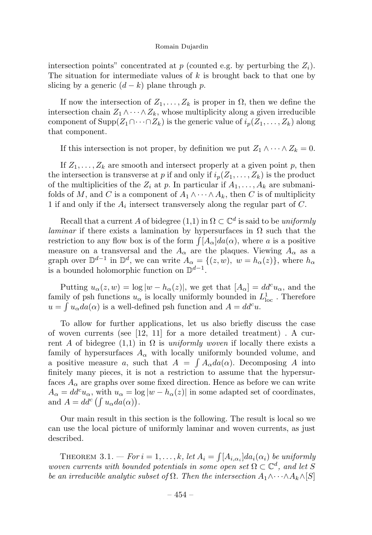intersection points" concentrated at p (counted e.g. by perturbing the  $Z_i$ ). The situation for intermediate values of  $k$  is brought back to that one by slicing by a generic  $(d - k)$  plane through p.

If now the intersection of  $Z_1, \ldots, Z_k$  is proper in  $\Omega$ , then we define the intersection chain  $Z_1 \wedge \cdots \wedge Z_k$ , whose multiplicity along a given irreducible component of Supp $(Z_1 \cap \cdots \cap Z_k)$  is the generic value of  $i_p(Z_1,\ldots,Z_k)$  along that component.

If this intersection is not proper, by definition we put  $Z_1 \wedge \cdots \wedge Z_k = 0$ .

If  $Z_1, \ldots, Z_k$  are smooth and intersect properly at a given point p, then the intersection is transverse at p if and only if  $i_p(Z_1,\ldots,Z_k)$  is the product of the multiplicities of the  $Z_i$  at p. In particular if  $A_1, \ldots, A_k$  are submanifolds of M, and C is a component of  $A_1 \wedge \cdots \wedge A_k$ , then C is of multiplicity 1 if and only if the  $A_i$  intersect transversely along the regular part of  $C$ .

Recall that a current A of bidegree  $(1,1)$  in  $\Omega \subset \mathbb{C}^d$  is said to be uniformly *laminar* if there exists a lamination by hypersurfaces in  $\Omega$  such that the restriction to any flow box is of the form  $\int [A_{\alpha}] da(\alpha)$ , where a is a positive measure on a transversal and the  $A_{\alpha}$  are the plaques. Viewing  $A_{\alpha}$  as a graph over  $\mathbb{D}^{d-1}$  in  $\mathbb{D}^d$ , we can write  $A_{\alpha} = \{(z, w), w = h_{\alpha}(z)\}$ , where  $h_{\alpha}$ is a bounded holomorphic function on  $\mathbb{D}^{d-1}$ .

Putting  $u_{\alpha}(z, w) = \log |w - h_{\alpha}(z)|$ , we get that  $[A_{\alpha}] = dd^c u_{\alpha}$ , and the family of psh functions  $u_{\alpha}$  is locally uniformly bounded in  $L^1_{\text{loc}}$  . Therefore  $u = \int u_{\alpha} da(\alpha)$  is a well-defined psh function and  $A = dd^c u$ .

To allow for further applications, let us also briefly discuss the case of woven currents (see [12, 11] for a more detailed treatment) . A current A of bidegree (1,1) in  $\Omega$  is uniformly woven if locally there exists a family of hypersurfaces  $A_{\alpha}$  with locally uniformly bounded volume, and a positive measure a, such that  $A = \int A_{\alpha} da(\alpha)$ . Decomposing A into finitely many pieces, it is not a restriction to assume that the hypersurfaces  $A_{\alpha}$  are graphs over some fixed direction. Hence as before we can write  $A_{\alpha} = dd^c u_{\alpha}$ , with  $u_{\alpha} = \log |w - h_{\alpha}(z)|$  in some adapted set of coordinates, and  $A = dd^c \left( \int u_\alpha da(\alpha) \right)$ .

Our main result in this section is the following. The result is local so we can use the local picture of uniformly laminar and woven currents, as just described.

THEOREM 3.1. – For  $i = 1, ..., k$ , let  $A_i = \int [A_{i,\alpha_i}] da_i(\alpha_i)$  be uniformly woven currents with bounded potentials in some open set  $\Omega \subset \mathbb{C}^d$ , and let S be an irreducible analytic subset of  $\Omega$ . Then the intersection  $A_1 \wedge \cdots \wedge A_k \wedge [S]$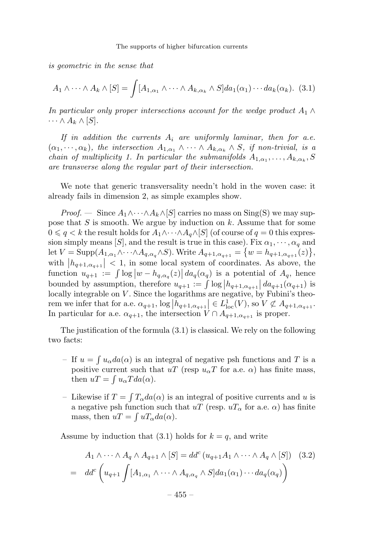is geometric in the sense that

$$
A_1 \wedge \cdots \wedge A_k \wedge [S] = \int [A_{1,\alpha_1} \wedge \cdots \wedge A_{k,\alpha_k} \wedge S] da_1(\alpha_1) \cdots da_k(\alpha_k). \tag{3.1}
$$

In particular only proper intersections account for the wedge product  $A_1 \wedge$  $\cdots \wedge A_k \wedge [S].$ 

If in addition the currents  $A_i$  are uniformly laminar, then for a.e.  $(\alpha_1, \dots, \alpha_k)$ , the intersection  $A_{1,\alpha_1} \wedge \dots \wedge A_{k,\alpha_k} \wedge S$ , if non-trivial, is a chain of multiplicity 1. In particular the submanifolds  $A_{1,\alpha_1},\ldots,A_{k,\alpha_k},S$ are transverse along the regular part of their intersection.

We note that generic transversality needn't hold in the woven case: it already fails in dimension 2, as simple examples show.

*Proof.* — Since  $A_1 \wedge \cdots \wedge A_k \wedge [S]$  carries no mass on Sing(S) we may suppose that  $S$  is smooth. We argue by induction on  $k$ . Assume that for some  $0 \leqslant q < k$  the result holds for  $A_1 \wedge \cdots \wedge A_q \wedge [S]$  (of course of  $q = 0$  this expression simply means [S], and the result is true in this case). Fix  $\alpha_1, \cdots, \alpha_q$  and let  $V = \text{Supp}(A_{1,\alpha_1} \wedge \cdots \wedge A_{q,\alpha_q} \wedge S)$ . Write  $A_{q+1,\alpha_{q+1}} = \{w = h_{q+1,\alpha_{q+1}}(z)\},$ with  $|h_{q+1,\alpha_{q+1}}| < 1$ , in some local system of coordinates. As above, the function  $u_{q+1} := \int \log |w - h_{q,\alpha_q}(z)| \, da_q(\alpha_q)$  is a potential of  $A_q$ , hence bounded by assumption, therefore  $u_{q+1} := \int \log |h_{q+1,\alpha_{q+1}}| \, da_{q+1}(\alpha_{q+1})$  is locally integrable on V. Since the logarithms are negative, by Fubini's theorem we infer that for a.e.  $\alpha_{q+1}$ ,  $\log |h_{q+1,\alpha_{q+1}}| \in L_{\text{loc}}^{1}(V)$ , so  $V \not\subset A_{q+1,\alpha_{q+1}}$ . In particular for a.e.  $\alpha_{q+1}$ , the intersection  $V \cap A_{q+1,\alpha_{q+1}}$  is proper.

The justification of the formula (3.1) is classical. We rely on the following two facts:

- If  $u = \int u_{\alpha} da(\alpha)$  is an integral of negative psh functions and T is a positive current such that  $uT$  (resp  $u_{\alpha}T$  for a.e.  $\alpha$ ) has finite mass, then  $uT = \int u_{\alpha} T da(\alpha)$ .
- Likewise if  $T = \int T_{\alpha} da(\alpha)$  is an integral of positive currents and u is a negative psh function such that  $uT$  (resp.  $uT_\alpha$  for a.e.  $\alpha$ ) has finite mass, then  $uT = \int uT_{\alpha}da(\alpha)$ .

Assume by induction that  $(3.1)$  holds for  $k = q$ , and write

$$
A_1 \wedge \cdots \wedge A_q \wedge A_{q+1} \wedge [S] = dd^c \left( u_{q+1} A_1 \wedge \cdots \wedge A_q \wedge [S] \right) \tag{3.2}
$$
\n
$$
= dd^c \left( u_{q+1} \int [A_{1,\alpha_1} \wedge \cdots \wedge A_{q,\alpha_q} \wedge S] da_1(\alpha_1) \cdots da_q(\alpha_q) \right)
$$
\n
$$
-455 -
$$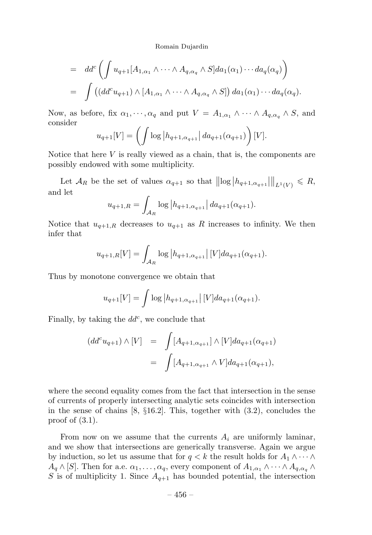$$
= dd^c \left( \int u_{q+1}[A_{1,\alpha_1} \wedge \cdots \wedge A_{q,\alpha_q} \wedge S] da_1(\alpha_1) \cdots da_q(\alpha_q) \right)
$$
  

$$
= \int \left( (dd^c u_{q+1}) \wedge [A_{1,\alpha_1} \wedge \cdots \wedge A_{q,\alpha_q} \wedge S] \right) da_1(\alpha_1) \cdots da_q(\alpha_q).
$$

Now, as before, fix  $\alpha_1, \cdots, \alpha_q$  and put  $V = A_{1,\alpha_1} \wedge \cdots \wedge A_{q,\alpha_q} \wedge S$ , and consider

$$
u_{q+1}[V] = \left(\int \log |h_{q+1,\alpha_{q+1}}| \, da_{q+1}(\alpha_{q+1})\right)[V].
$$

Notice that here  $V$  is really viewed as a chain, that is, the components are possibly endowed with some multiplicity.

Let  $\mathcal{A}_R$  be the set of values  $\alpha_{q+1}$  so that  $||log|h_{q+1,\alpha_{q+1}}||_{L^1(V)} \leq R$ , and let

$$
u_{q+1,R} = \int_{\mathcal{A}_R} \log |h_{q+1,\alpha_{q+1}}| \, da_{q+1}(\alpha_{q+1}).
$$

Notice that  $u_{q+1,R}$  decreases to  $u_{q+1}$  as R increases to infinity. We then infer that

$$
u_{q+1,R}[V] = \int_{\mathcal{A}_R} \log |h_{q+1,\alpha_{q+1}}| [V] da_{q+1}(\alpha_{q+1}).
$$

Thus by monotone convergence we obtain that

$$
u_{q+1}[V] = \int \log |h_{q+1,\alpha_{q+1}}| [V] da_{q+1}(\alpha_{q+1}).
$$

Finally, by taking the  $dd^c$ , we conclude that

$$
(dd^{c}u_{q+1}) \wedge [V] = \int [A_{q+1,\alpha_{q+1}}] \wedge [V] da_{q+1}(\alpha_{q+1})
$$
  
= 
$$
\int [A_{q+1,\alpha_{q+1}} \wedge V] da_{q+1}(\alpha_{q+1}),
$$

where the second equality comes from the fact that intersection in the sense of currents of properly intersecting analytic sets coincides with intersection in the sense of chains [8, §16.2]. This, together with (3.2), concludes the proof of (3.1).

From now on we assume that the currents  $A_i$  are uniformly laminar, and we show that intersections are generically transverse. Again we argue by induction, so let us assume that for  $q < k$  the result holds for  $A_1 \wedge \cdots \wedge$  $A_q \wedge [S]$ . Then for a.e.  $\alpha_1, \ldots, \alpha_q$ , every component of  $A_{1,\alpha_1} \wedge \cdots \wedge A_{q,\alpha_q} \wedge$ S is of multiplicity 1. Since  $A_{q+1}$  has bounded potential, the intersection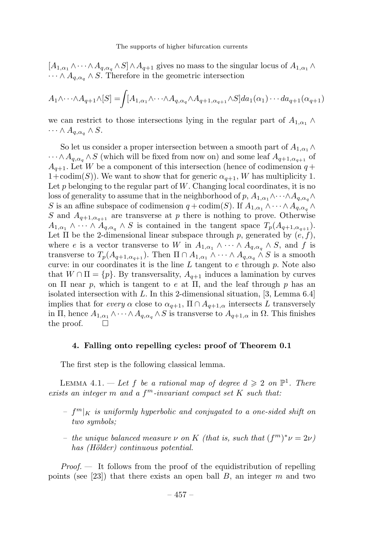#### The supports of higher bifurcation currents

 $[A_{1,\alpha_1} \wedge \cdots \wedge A_{q,\alpha_n} \wedge S] \wedge A_{q+1}$  gives no mass to the singular locus of  $A_{1,\alpha_1} \wedge$  $\cdots \wedge A_{q,\alpha} \wedge S$ . Therefore in the geometric intersection

$$
A_1 \wedge \cdots \wedge A_{q+1} \wedge [S] = \int [A_{1,\alpha_1} \wedge \cdots \wedge A_{q,\alpha_q} \wedge A_{q+1,\alpha_{q+1}} \wedge S] da_1(\alpha_1) \cdots da_{q+1}(\alpha_{q+1})
$$

we can restrict to those intersections lying in the regular part of  $A_{1,\alpha_1} \wedge$  $\cdots \wedge A_{q,\alpha_q} \wedge S.$ 

So let us consider a proper intersection between a smooth part of  $A_{1,\alpha_1} \wedge$  $\cdots \wedge A_{q,\alpha_q} \wedge S$  (which will be fixed from now on) and some leaf  $A_{q+1,\alpha_{q+1}}$  of  $A_{q+1}$ . Let W be a component of this intersection (hence of codimension  $q +$  $1+\text{codim}(S)$ . We want to show that for generic  $\alpha_{q+1}$ , W has multiplicity 1. Let  $p$  belonging to the regular part of  $W$ . Changing local coordinates, it is no loss of generality to assume that in the neighborhood of  $p, A_{1,\alpha_1} \wedge \cdots \wedge A_{q,\alpha_q} \wedge$ S is an affine subspace of codimension  $q + \text{codim}(S)$ . If  $A_{1,\alpha_1} \wedge \cdots \wedge A_{q,\alpha_q} \wedge$ S and  $A_{q+1,\alpha_{q+1}}$  are transverse at p there is nothing to prove. Otherwise  $A_{1,\alpha_1} \wedge \cdots \wedge A_{q,\alpha_q} \wedge S$  is contained in the tangent space  $T_p(A_{q+1,\alpha_{q+1}})$ . Let  $\Pi$  be the 2-dimensional linear subspace through p, generated by  $(e, f)$ , where e is a vector transverse to W in  $A_{1,\alpha_1} \wedge \cdots \wedge A_{q,\alpha_q} \wedge S$ , and f is transverse to  $T_p(A_{q+1,\alpha_{q+1}})$ . Then  $\Pi \cap A_{1,\alpha_1} \wedge \cdots \wedge A_{q,\alpha_q} \wedge S$  is a smooth curve: in our coordinates it is the line L tangent to  $e$  through  $p$ . Note also that  $W \cap \Pi = \{p\}$ . By transversality,  $A_{q+1}$  induces a lamination by curves on  $\Pi$  near p, which is tangent to e at  $\Pi$ , and the leaf through p has an isolated intersection with L. In this 2-dimensional situation, [3, Lemma 6.4] implies that for every  $\alpha$  close to  $\alpha_{q+1}$ ,  $\Pi \cap A_{q+1,\alpha}$  intersects L transversely in Π, hence  $A_{1,\alpha_1} \wedge \cdots \wedge A_{q,\alpha_q} \wedge S$  is transverse to  $A_{q+1,\alpha}$  in  $\Omega$ . This finishes the proof.

# 4. Falling onto repelling cycles: proof of Theorem 0.1

The first step is the following classical lemma.

LEMMA 4.1. — Let f be a rational map of degree  $d \geq 2$  on  $\mathbb{P}^1$ . There exists an integer m and a  $f<sup>m</sup>$ -invariant compact set K such that:

- $f<sup>m</sup>|<sub>K</sub>$  is uniformly hyperbolic and conjugated to a one-sided shift on two symbols;
- the unique balanced measure  $\nu$  on K (that is, such that  $(f<sup>m</sup>)<sup>*</sup>ν = 2ν$ ) has (Hölder) continuous potential.

*Proof.*  $\leftarrow$  It follows from the proof of the equidistribution of repelling points (see [23]) that there exists an open ball  $B$ , an integer  $m$  and two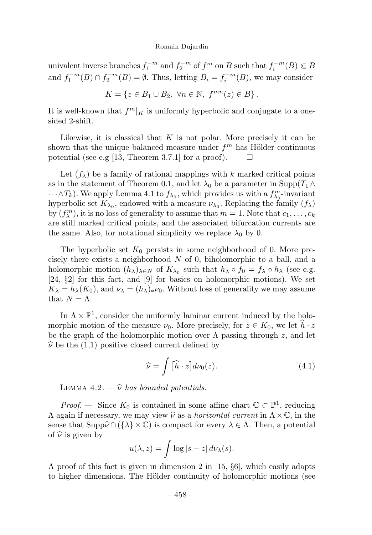univalent inverse branches  $f_1^{-m}$  and  $f_2^{-m}$  of  $f^m$  on B such that  $f_i^{-m}(B) \in B$ and  $f_1^{-m}(B) \cap f_2^{-m}(B) = \emptyset$ . Thus, letting  $B_i = f_i^{-m}(B)$ , we may consider

$$
K = \{ z \in B_1 \cup B_2, \ \forall n \in \mathbb{N}, \ f^{mn}(z) \in B \}.
$$

It is well-known that  $f^{m}|_K$  is uniformly hyperbolic and conjugate to a onesided 2-shift.

Likewise, it is classical that  $K$  is not polar. More precisely it can be shown that the unique balanced measure under  $f<sup>m</sup>$  has Hölder continuous potential (see e.g [13, Theorem 3.7.1] for a proof).  $\Box$ 

Let  $(f_\lambda)$  be a family of rational mappings with k marked critical points as in the statement of Theorem 0.1, and let  $\lambda_0$  be a parameter in Supp $(T_1 \wedge$  $\cdots \wedge T_k$ ). We apply Lemma 4.1 to  $f_{\lambda_0}$ , which provides us with a  $f_{\lambda_0}^m$ -invariant hyperbolic set  $K_{\lambda_0}$ , endowed with a measure  $\nu_{\lambda_0}$ . Replacing the family  $(f_{\lambda})$ by  $(f_{\lambda}^{m})$ , it is no loss of generality to assume that  $m = 1$ . Note that  $c_1, \ldots, c_k$ are still marked critical points, and the associated bifurcation currents are the same. Also, for notational simplicity we replace  $\lambda_0$  by 0.

The hyperbolic set  $K_0$  persists in some neighborhood of 0. More precisely there exists a neighborhood N of 0, biholomorphic to a ball, and a holomorphic motion  $(h_\lambda)_{\lambda \in N}$  of  $K_{\lambda_0}$  such that  $h_\lambda \circ f_0 = f_\lambda \circ h_\lambda$  (see e.g. [24, §2] for this fact, and [9] for basics on holomorphic motions). We set  $K_{\lambda} = h_{\lambda}(K_0)$ , and  $\nu_{\lambda} = (h_{\lambda})_{*}\nu_0$ . Without loss of generality we may assume that  $N = \Lambda$ .

In  $\Lambda \times \mathbb{P}^1$ , consider the uniformly laminar current induced by the holomorphic motion of the measure  $\nu_0$ . More precisely, for  $z \in K_0$ , we let  $h \cdot z$ be the graph of the holomorphic motion over  $\Lambda$  passing through z, and let  $\hat{\nu}$  be the (1,1) positive closed current defined by

$$
\widehat{\nu} = \int \left[ \widehat{h} \cdot z \right] d\nu_0(z). \tag{4.1}
$$

LEMMA 4.2.  $-\hat{\nu}$  has bounded potentials.

*Proof.* — Since  $K_0$  is contained in some affine chart  $\mathbb{C} \subset \mathbb{P}^1$ , reducing  $\Lambda$  again if necessary, we may view  $\hat{\nu}$  as a *horizontal current* in  $\Lambda \times \mathbb{C}$ , in the sense that  $\text{Supp}\widehat{\nu}\cap (\{\lambda\}\times\mathbb{C})$  is compact for every  $\lambda\in\Lambda$ . Then, a potential of  $\hat{\nu}$  is given by

$$
u(\lambda, z) = \int \log|s - z| d\nu_{\lambda}(s).
$$

A proof of this fact is given in dimension 2 in [15, §6], which easily adapts to higher dimensions. The Hölder continuity of holomorphic motions (see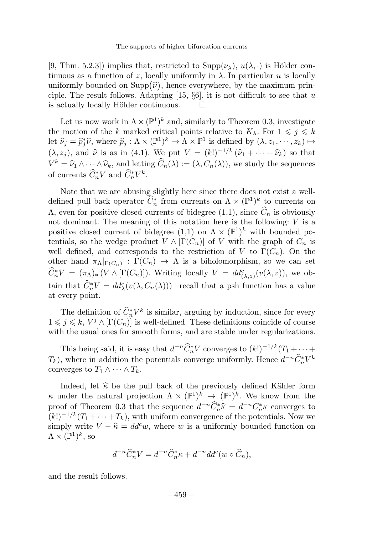[9, Thm. 5.2.3]) implies that, restricted to  $\text{Supp}(\nu_{\lambda}), u(\lambda, \cdot)$  is Hölder continuous as a function of z, locally uniformly in  $\lambda$ . In particular u is locally uniformly bounded on  $\text{Supp}(\hat{\nu})$ , hence everywhere, by the maximum principle. The result follows. Adapting [15,  $\S6$ ], it is not difficult to see that u is actually locally Hölder continuous is actually locally Hölder continuous.

Let us now work in  $\Lambda \times (\mathbb{P}^1)^k$  and, similarly to Theorem 0.3, investigate the motion of the k marked critical points relative to  $K_{\lambda}$ . For  $1 \leqslant j \leqslant k$ let  $\widehat{\nu}_j = \widehat{p}_j^*\widehat{\nu}$ , where  $\widehat{p}_j : \Lambda \times (\mathbb{P}^1)^k \to \Lambda \times \mathbb{P}^1$  is defined by  $(\lambda, z_1, \dots, z_k) \mapsto$  $(\lambda, z_j)$ , and  $\hat{\nu}$  is as in (4.1). We put  $V = (k!)^{-1/k} (\hat{\nu}_1 + \cdots + \hat{\nu}_k)$  so that  $V^k = \hat{\nu}_1 \wedge \cdots \wedge \hat{\nu}_k$ , and letting  $\hat{C}_n(\lambda) := (\lambda, C_n(\lambda))$ , we study the sequences of currents  $\widehat{C}_n^* V$  and  $\widehat{C}_n^* V^k$ .

Note that we are abusing slightly here since there does not exist a welldefined pull back operator  $\hat{C}_n^*$  from currents on  $\Lambda \times (\mathbb{P}^1)^k$  to currents on Λ, even for positive closed currents of bidegree (1,1), since  $\widehat{C}_n$  is obviously not dominant. The meaning of this notation here is the following:  $V$  is a positive closed current of bidegree (1,1) on  $\Lambda \times (\mathbb{P}^1)^k$  with bounded potentials, so the wedge product  $V \wedge [\Gamma(C_n)]$  of V with the graph of  $C_n$  is well defined, and corresponds to the restriction of V to  $\Gamma(C_n)$ . On the other hand  $\pi_{\Lambda}|_{\Gamma(C_n)} : \Gamma(C_n) \to \Lambda$  is a biholomorphism, so we can set  $\widehat{C}_n^* V = (\pi_\Lambda)_* (V \wedge [\Gamma(C_n)]).$  Writing locally  $V = dd_{(\lambda,z)}^c(v(\lambda,z))$ , we obtain that  $\hat{C}_n^* V = dd^c_\lambda(v(\lambda, C_n(\lambda)))$  -recall that a psh function has a value at every point.

The definition of  $C_n^* V^k$  is similar, arguing by induction, since for every  $1 \leq j \leq k$ ,  $V^j \wedge [\Gamma(C_n)]$  is well-defined. These definitions coincide of course with the usual ones for smooth forms, and are stable under regularizations.

This being said, it is easy that  $d^{-n}\tilde{C}_n^*V$  converges to  $(k!)^{-1/k}(T_1 + \cdots +$  $T_k$ ), where in addition the potentials converge uniformly. Hence  $d^{-n}\tilde{C}_n^*V^k$ converges to  $T_1 \wedge \cdots \wedge T_k$ .

Indeed, let  $\hat{\kappa}$  be the pull back of the previously defined Kähler form κ under the natural projection  $\Lambda \times (\mathbb{P}^1)^k \to (\mathbb{P}^1)^k$ . We know from the proof of Theorem 0.3 that the sequence  $d^{-n}\widehat{C}_n^*\widehat{\kappa} = d^{-n}C_n^*\kappa$  converges to  $(k!)^{-1/k}(T_1 + \cdots + T_k)$ , with uniform convergence of the potentials. Now we simply write  $V - \hat{\kappa} = dd^c w$ , where w is a uniformly bounded function on  $\Lambda \times (\mathbb{P}^1)^k$ , so

$$
d^{-n}\widehat{C}_n^*V = d^{-n}\widehat{C}_n^*\kappa + d^{-n}dd^c(w \circ \widehat{C}_n),
$$

and the result follows.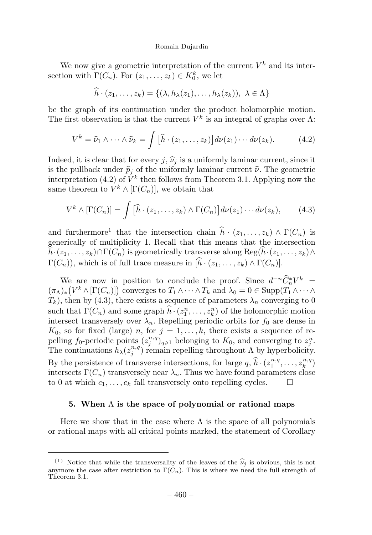We now give a geometric interpretation of the current  $V^k$  and its intersection with  $\Gamma(C_n)$ . For  $(z_1, \ldots, z_k) \in K_0^k$ , we let

 $h \cdot (z_1,\ldots,z_k) = \{(\lambda, h_\lambda(z_1),\ldots,h_\lambda(z_k)), \lambda \in \Lambda\}$ 

be the graph of its continuation under the product holomorphic motion. The first observation is that the current  $V^k$  is an integral of graphs over  $\Lambda$ :

$$
V^k = \widehat{\nu}_1 \wedge \cdots \wedge \widehat{\nu}_k = \int \left[ \widehat{h} \cdot (z_1, \ldots, z_k) \right] d\nu(z_1) \cdots d\nu(z_k). \tag{4.2}
$$

Indeed, it is clear that for every j,  $\hat{\nu}_i$  is a uniformly laminar current, since it is the pullback under  $\hat{p}_i$  of the uniformly laminar current  $\hat{\nu}$ . The geometric interpretation (4.2) of  $\check{V}^k$  then follows from Theorem 3.1. Applying now the same theorem to  $V^k \wedge [\Gamma(C_n)]$ , we obtain that

$$
V^k \wedge [\Gamma(C_n)] = \int [\widehat{h} \cdot (z_1, \dots, z_k) \wedge \Gamma(C_n)] d\nu(z_1) \cdots d\nu(z_k), \qquad (4.3)
$$

and furthermore<sup>1</sup> that the intersection chain  $\hat{h} \cdot (z_1, \ldots, z_k) \wedge \Gamma(C_n)$  is generically of multiplicity 1. Recall that this means that the intersection  $h \cdot (z_1, \ldots, z_k) \cap \Gamma(C_n)$  is geometrically transverse along  $\text{Reg}(h \cdot (z_1, \ldots, z_k) \wedge \Gamma(C_n))$  $\Gamma(C_n)$ , which is of full trace measure in  $[h \cdot (z_1, \ldots, z_k) \wedge \Gamma(C_n)].$ 

We are now in position to conclude the proof. Since  $d^{-n}\tilde{C}_n^*V^k =$  $(\pi_\Lambda)_*\left(V^k\wedge [\Gamma(C_n)]\right)$  converges to  $T_1\wedge\cdots\wedge T_k$  and  $\lambda_0=0\in \mathrm{Supp}(T_1\wedge\cdots\wedge T_k)$  $T_k$ ), then by (4.3), there exists a sequence of parameters  $\lambda_n$  converging to 0 such that  $\Gamma(C_n)$  and some graph  $\hat{h} \cdot (z_1^n, \ldots, z_k^n)$  of the holomorphic motion intersect transversely over  $\lambda_n$ . Repelling periodic orbits for  $f_0$  are dense in  $K_0$ , so for fixed (large) n, for  $j = 1, \ldots, k$ , there exists a sequence of repelling  $f_0$ -periodic points  $(z_j^{n,q})_{q\geq 1}$  belonging to  $K_0$ , and converging to  $z_j^n$ . The continuations  $h_{\lambda}(z_j^{n,q})$  remain repelling throughout  $\Lambda$  by hyperbolicity. By the persistence of transverse intersections, for large  $q, \hat{h} \cdot (z_1^{n,q}, \ldots, z_k^{n,q})$ intersects  $\Gamma(C_n)$  transversely near  $\lambda_n$ . Thus we have found parameters close to 0 at which  $c_1, \ldots, c_k$  fall transversely onto repelling cycles.  $\Box$ 

# 5. When  $\Lambda$  is the space of polynomial or rational maps

Here we show that in the case where  $\Lambda$  is the space of all polynomials or rational maps with all critical points marked, the statement of Corollary

<sup>(1)</sup> Notice that while the transversality of the leaves of the  $\hat{\nu}_i$  is obvious, this is not anymore the case after restriction to  $\Gamma(C_n)$ . This is where we need the full strength of Theorem 3.1.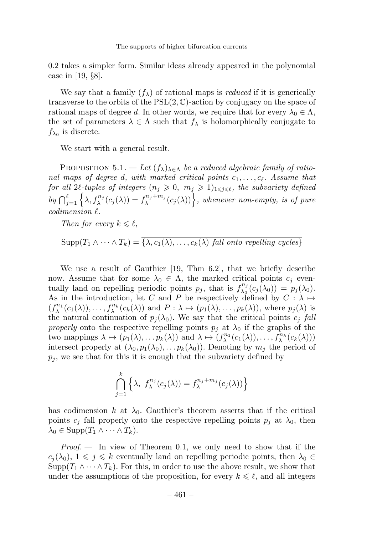0.2 takes a simpler form. Similar ideas already appeared in the polynomial case in [19, §8].

We say that a family  $(f_{\lambda})$  of rational maps is *reduced* if it is generically transverse to the orbits of the  $PSL(2, \mathbb{C})$ -action by conjugacy on the space of rational maps of degree d. In other words, we require that for every  $\lambda_0 \in \Lambda$ , the set of parameters  $\lambda \in \Lambda$  such that  $f_{\lambda}$  is holomorphically conjugate to  $f_{\lambda_0}$  is discrete.

We start with a general result.

PROPOSITION 5.1. — Let  $(f_{\lambda})_{\lambda \in \Lambda}$  be a reduced algebraic family of rational maps of degree d, with marked critical points  $c_1, \ldots, c_\ell$ . Assume that for all 2l-tuples of integers  $(n_j \geq 0, m_j \geq 1)_{1 \leq j \leq l}$ , the subvariety defined by  $\bigcap_{j=1}^{\ell} \left\{ \lambda, f_{\lambda}^{n_j}(c_j(\lambda)) = f_{\lambda}^{n_j+m_j}(c_j(\lambda)) \right\}$ , whenever non-empty, is of pure  $codimension \ell$ .

Then for every  $k \leq \ell$ ,

 $\text{Supp}(T_1 \wedge \cdots \wedge T_k) = \overline{\{\lambda, c_1(\lambda), \ldots, c_k(\lambda) \text{ fall onto repelling cycles}\}}$ 

We use a result of Gauthier [19, Thm 6.2], that we briefly describe now. Assume that for some  $\lambda_0 \in \Lambda$ , the marked critical points  $c_j$  eventually land on repelling periodic points  $p_j$ , that is  $f_{\lambda_0}^{n_j}(c_j(\lambda_0)) = p_j(\lambda_0)$ . As in the introduction, let C and P be respectively defined by  $C : \lambda \mapsto$  $(f_{\lambda}^{n_1}(c_1(\lambda)),...,f_{\lambda}^{n_k}(c_k(\lambda))$  and  $P: \lambda \mapsto (p_1(\lambda),...,p_k(\lambda)),$  where  $p_j(\lambda)$  is the natural continuation of  $p_i(\lambda_0)$ . We say that the critical points  $c_j$  fall properly onto the respective repelling points  $p_i$  at  $\lambda_0$  if the graphs of the two mappings  $\lambda \mapsto (p_1(\lambda), \ldots p_k(\lambda))$  and  $\lambda \mapsto (f_{\lambda}^{n_1}(c_1(\lambda)), \ldots, f_{\lambda}^{n_k}(c_k(\lambda)))$ intersect properly at  $(\lambda_0, p_1(\lambda_0), \ldots, p_k(\lambda_0))$ . Denoting by  $m_j$  the period of  $p_i$ , we see that for this it is enough that the subvariety defined by

$$
\bigcap_{j=1}^k \left\{ \lambda, \ f_{\lambda}^{n_j}(c_j(\lambda)) = f_{\lambda}^{n_j + m_j}(c_j(\lambda)) \right\}
$$

has codimension k at  $\lambda_0$ . Gauthier's theorem asserts that if the critical points  $c_j$  fall properly onto the respective repelling points  $p_j$  at  $\lambda_0$ , then  $\lambda_0 \in \text{Supp}(T_1 \wedge \cdots \wedge T_k).$ 

 $Proof.$  – In view of Theorem 0.1, we only need to show that if the  $c_i(\lambda_0), 1 \leq j \leq k$  eventually land on repelling periodic points, then  $\lambda_0 \in$  $\text{Supp}(T_1 \wedge \cdots \wedge T_k)$ . For this, in order to use the above result, we show that under the assumptions of the proposition, for every  $k \leq \ell$ , and all integers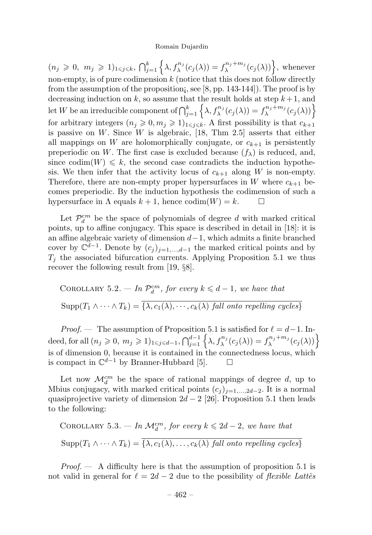$(n_j \geq 0, m_j \geq 1)_{1 \leq j \leq k}, \bigcap_{j=1}^k \left\{ \lambda, f_{\lambda}^{n_j}(c_j(\lambda)) = f_{\lambda}^{n_j+m_j}(c_j(\lambda)) \right\},\$  whenever non-empty, is of pure codimension  $k$  (notice that this does not follow directly from the assumption of the proposition¡, see [8, pp. 143-144]). The proof is by decreasing induction on  $k$ , so assume that the result holds at step  $k+1$ , and let W be an irreducible component of  $\bigcap_{j=1}^k \left\{ \lambda, f_\lambda^{n_j}(c_j(\lambda)) = f_\lambda^{n_j+m_j}(c_j(\lambda)) \right\}$ for arbitrary integers  $(n_i \geq 0, m_j \geq 1)_{1 \leq i \leq k}$ . A first possibility is that  $c_{k+1}$ is passive on W. Since W is algebraic, [18, Thm 2.5] asserts that either all mappings on  $W$  are holomorphically conjugate, or  $c_{k+1}$  is persistently preperiodic on W. The first case is excluded because  $(f_{\lambda})$  is reduced, and, since codim( $W$ )  $\leq k$ , the second case contradicts the induction hypothesis. We then infer that the activity locus of  $c_{k+1}$  along W is non-empty. Therefore, there are non-empty proper hypersurfaces in W where  $c_{k+1}$  becomes preperiodic. By the induction hypothesis the codimension of such a hypersurface in  $\Lambda$  equals  $k + 1$ , hence  $\text{codim}(W) = k$ .  $\Box$ 

Let  $\mathcal{P}_d^{cm}$  be the space of polynomials of degree d with marked critical points, up to affine conjugacy. This space is described in detail in [18]: it is an affine algebraic variety of dimension  $d-1$ , which admits a finite branched cover by  $\mathbb{C}^{d-1}$ . Denote by  $(c_j)_{j=1,\dots,d-1}$  the marked critical points and by  $T_j$  the associated bifurcation currents. Applying Proposition 5.1 we thus recover the following result from [19, §8].

COROLLARY 5.2. — In 
$$
\mathcal{P}_d^{cm}
$$
, for every  $k \leq d-1$ , we have that  
\n
$$
Supp(T_1 \wedge \cdots \wedge T_k) = \overline{\{\lambda, c_1(\lambda), \cdots, c_k(\lambda) \text{ fall onto repelling cycles}\}}
$$

*Proof.* — The assumption of Proposition 5.1 is satisfied for  $\ell = d-1$ . Indeed, for all  $(n_j \geq 0, m_j \geq 1)_{1 \leq j \leq d-1}, \bigcap_{j=1}^{d-1} \left\{ \lambda, f_{\lambda}^{n_j}(c_j(\lambda)) = f_{\lambda}^{n_j+m_j}(c_j(\lambda)) \right\}$ is of dimension 0, because it is contained in the connectedness locus, which is compact in  $\mathbb{C}^{d-1}$  by Branner-Hubbard [5].  $\Box$ 

Let now  $\mathcal{M}_d^{cm}$  be the space of rational mappings of degree d, up to Mbius conjugacy, with marked critical points  $(c_j)_{j=1,\dots,2d-2}$ . It is a normal quasiprojective variety of dimension  $2d - 2$  [26]. Proposition 5.1 then leads to the following:

COROLLARY 5.3. — In 
$$
\mathcal{M}_d^{cm}
$$
, for every  $k \le 2d - 2$ , we have that  
\n
$$
Supp(T_1 \wedge \cdots \wedge T_k) = \overline{\{\lambda, c_1(\lambda), \ldots, c_k(\lambda) \text{ fall onto repelling cycles}\}}
$$

*Proof.*  $\leftarrow$  A difficulty here is that the assumption of proposition 5.1 is not valid in general for  $\ell = 2d - 2$  due to the possibility of *flexible Lattès*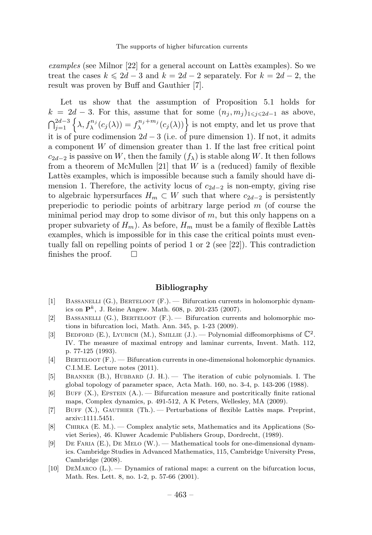examples (see Milnor  $[22]$  for a general account on Lattès examples). So we treat the cases  $k \le 2d - 3$  and  $k = 2d - 2$  separately. For  $k = 2d - 2$ , the result was proven by Buff and Gauthier [7].

Let us show that the assumption of Proposition 5.1 holds for  $k = 2d - 3$ . For this, assume that for some  $(n_j, m_j)_{1 \leq j \leq 2d-1}$  as above,  $\bigcap_{j=1}^{2d-3} \left\{ \lambda, f_{\lambda}^{n_j}(c_j(\lambda)) = f_{\lambda}^{n_j+m_j}(c_j(\lambda)) \right\}$  is not empty, and let us prove that it is of pure codimension  $2d - 3$  (i.e. of pure dimension 1). If not, it admits a component  $W$  of dimension greater than 1. If the last free critical point  $c_{2d-2}$  is passive on W, then the family  $(f_\lambda)$  is stable along W. It then follows from a theorem of McMullen  $[21]$  that W is a (reduced) family of flexible Lattes examples, which is impossible because such a family should have dimension 1. Therefore, the activity locus of  $c_{2d-2}$  is non-empty, giving rise to algebraic hypersurfaces  $H_m \subset W$  such that where  $c_{2d-2}$  is persistently preperiodic to periodic points of arbitrary large period  $m$  (of course the minimal period may drop to some divisor of m, but this only happens on a proper subvariety of  $H_m$ ). As before,  $H_m$  must be a family of flexible Lattes examples, which is impossible for in this case the critical points must eventually fall on repelling points of period 1 or 2 (see [22]). This contradiction finishes the proof.  $\Box$ 

# Bibliography

- [1] BASSANELLI  $(G.)$ , BERTELOOT  $(F.)$  Bifurcation currents in holomorphic dynamics on  $\mathbf{P}^{k}$ , J. Reine Angew. Math. 608, p. 201-235 (2007).
- [2] BASSANELLI  $(G.)$ , BERTELOOT  $(F.)$ . Bifurcation currents and holomorphic motions in bifurcation loci, Math. Ann. 345, p. 1-23 (2009).
- [3] BEDFORD (E.), LYUBICH (M.), SMILLIE (J.). Polynomial diffeomorphisms of  $\mathbb{C}^2$ . IV. The measure of maximal entropy and laminar currents, Invent. Math. 112, p. 77-125 (1993).
- [4] BERTELOOT (F.). Bifurcation currents in one-dimensional holomorphic dynamics. C.I.M.E. Lecture notes (2011).
- [5] BRANNER (B.), HUBBARD (J. H.). The iteration of cubic polynomials. I. The global topology of parameter space, Acta Math. 160, no. 3-4, p. 143-206 (1988).
- $[6]$  BUFF  $(X)$ , EPSTEIN  $(A)$ . Bifurcation measure and postcritically finite rational maps, Complex dynamics, p. 491-512, A K Peters, Wellesley, MA (2009).
- [7] BUFF (X.), GAUTHIER (Th.). Perturbations of flexible Lattès maps. Preprint, arxiv:1111.5451.
- [8] Chirka (E. M.). —Complex analytic sets, Mathematics and its Applications (Soviet Series), 46. Kluwer Academic Publishers Group, Dordrecht, (1989).
- $[9]$  DE FARIA  $(E)$ , DE MELO  $(W)$ . Mathematical tools for one-dimensional dynamics. Cambridge Studies in Advanced Mathematics, 115, Cambridge University Press, Cambridge (2008).
- [10] DEMARCO  $(L)$ . Dynamics of rational maps: a current on the bifurcation locus, Math. Res. Lett. 8, no. 1-2, p. 57-66 (2001).